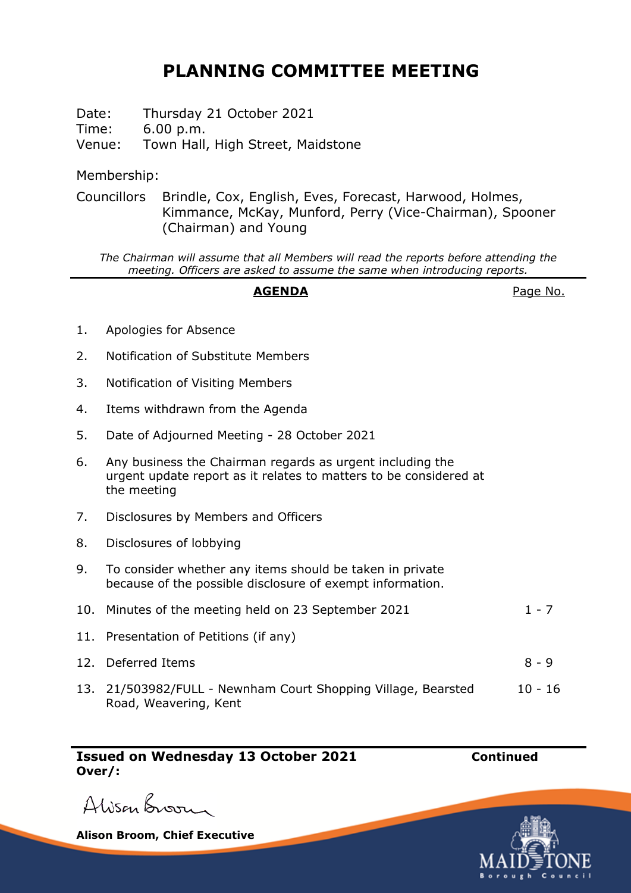## **PLANNING COMMITTEE MEETING**

Date: Thursday 21 October 2021 Time: 6.00 p.m. Venue: Town Hall, High Street, Maidstone

Membership:

Councillors Brindle, Cox, English, Eves, Forecast, Harwood, Holmes, Kimmance, McKay, Munford, Perry (Vice-Chairman), Spooner (Chairman) and Young

*The Chairman will assume that all Members will read the reports before attending the meeting. Officers are asked to assume the same when introducing reports.*

## AGENDA **AGENDA Page No.**

- 1. Apologies for Absence
- 2. Notification of Substitute Members
- 3. Notification of Visiting Members
- 4. Items withdrawn from the Agenda
- 5. Date of Adjourned Meeting 28 October 2021
- 6. Any business the Chairman regards as urgent including the urgent update report as it relates to matters to be considered at the meeting
- 7. Disclosures by Members and Officers
- 8. Disclosures of lobbying
- 9. To consider whether any items should be taken in private because of the possible disclosure of exempt information.
- 10. Minutes of the meeting held on 23 September 2021 1 7 11. Presentation of Petitions (if any) 12. Deferred Items 8 - 9
- 13. 21/503982/FULL Newnham Court Shopping Village, Bearsted Road, Weavering, Kent 10 - 16

**Issued on Wednesday 13 October 2021 Continued Over/:**



**Alison Broom, Chief Executive**